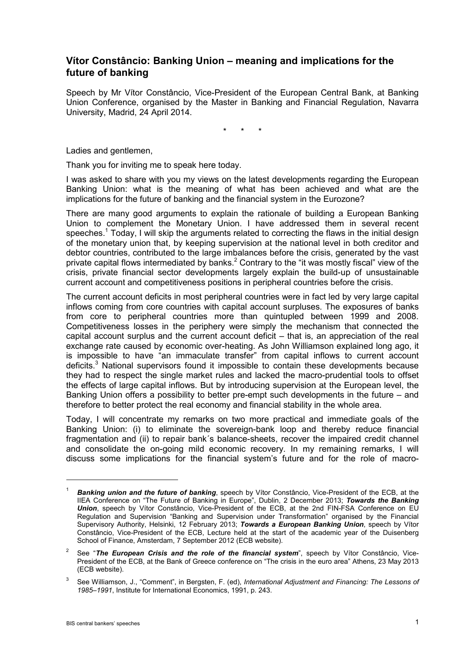# **Vítor Constâncio: Banking Union – meaning and implications for the future of banking**

Speech by Mr Vítor Constâncio, Vice-President of the European Central Bank, at Banking Union Conference, organised by the Master in Banking and Financial Regulation, Navarra University, Madrid, 24 April 2014.

\* \* \*

Ladies and gentlemen,

Thank you for inviting me to speak here today.

I was asked to share with you my views on the latest developments regarding the European Banking Union: what is the meaning of what has been achieved and what are the implications for the future of banking and the financial system in the Eurozone?

There are many good arguments to explain the rationale of building a European Banking Union to complement the Monetary Union. I have addressed them in several recent speeches.<sup>1</sup> Today, I will skip the arguments related to correcting the flaws in the initial design of the monetary union that, by keeping supervision at the national level in both creditor and debtor countries, contributed to the large imbalances before the crisis, generated by the vast private capital flows intermediated by banks. $<sup>2</sup>$  Contrary to the "it was mostly fiscal" view of the</sup> crisis, private financial sector developments largely explain the build-up of unsustainable current account and competitiveness positions in peripheral countries before the crisis.

The current account deficits in most peripheral countries were in fact led by very large capital inflows coming from core countries with capital account surpluses. The exposures of banks from core to peripheral countries more than quintupled between 1999 and 2008. Competitiveness losses in the periphery were simply the mechanism that connected the capital account surplus and the current account deficit – that is, an appreciation of the real exchange rate caused by economic over-heating. As John Williamson explained long ago, it is impossible to have "an immaculate transfer" from capital inflows to current account deficits.3 National supervisors found it impossible to contain these developments because they had to respect the single market rules and lacked the macro-prudential tools to offset the effects of large capital inflows. But by introducing supervision at the European level, the Banking Union offers a possibility to better pre-empt such developments in the future – and therefore to better protect the real economy and financial stability in the whole area.

Today, I will concentrate my remarks on two more practical and immediate goals of the Banking Union: (i) to eliminate the sovereign-bank loop and thereby reduce financial fragmentation and (ii) to repair bank´s balance-sheets, recover the impaired credit channel and consolidate the on-going mild economic recovery. In my remaining remarks, I will discuss some implications for the financial system's future and for the role of macro-

Banking union and the future of banking, speech by Vítor Constâncio, Vice-President of the ECB, at the IIEA Conference on "The Future of Banking in Europe", Dublin, 2 December 2013; *Towards the Banking Union*, speech by Vítor Constâncio, Vice-President of the ECB, at the 2nd FIN-FSA Conference on EU Regulation and Supervision "Banking and Supervision under Transformation" organised by the Financial Supervisory Authority, Helsinki, 12 February 2013; *Towards a European Banking Union*, speech by Vítor Constâncio, Vice-President of the ECB, Lecture held at the start of the academic year of the Duisenberg School of Finance, Amsterdam, 7 September 2012 (ECB website).

<sup>&</sup>lt;sup>2</sup> See "**The European Crisis and the role of the financial system**", speech by Vítor Constâncio, Vice-President of the ECB, at the Bank of Greece conference on "The crisis in the euro area" Athens, 23 May 2013 (ECB website).

<sup>3</sup> See Williamson, J., "Comment", in Bergsten, F. (ed), *International Adjustment and Financing: The Lessons of 1985–1991*, Institute for International Economics, 1991, p. 243.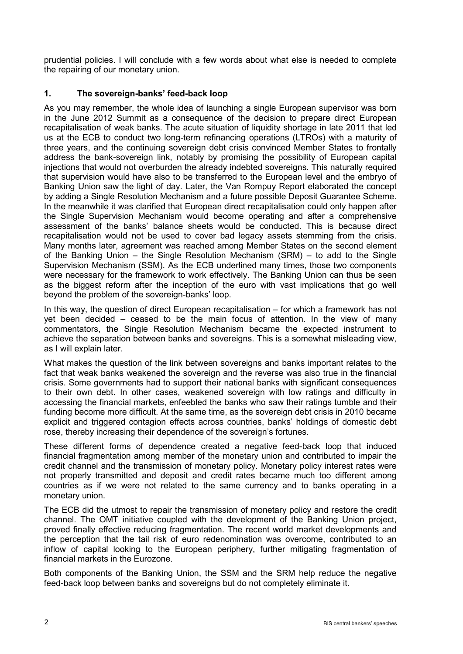prudential policies. I will conclude with a few words about what else is needed to complete the repairing of our monetary union.

## **1. The sovereign-banks' feed-back loop**

As you may remember, the whole idea of launching a single European supervisor was born in the June 2012 Summit as a consequence of the decision to prepare direct European recapitalisation of weak banks. The acute situation of liquidity shortage in late 2011 that led us at the ECB to conduct two long-term refinancing operations (LTROs) with a maturity of three years, and the continuing sovereign debt crisis convinced Member States to frontally address the bank-sovereign link, notably by promising the possibility of European capital injections that would not overburden the already indebted sovereigns. This naturally required that supervision would have also to be transferred to the European level and the embryo of Banking Union saw the light of day. Later, the Van Rompuy Report elaborated the concept by adding a Single Resolution Mechanism and a future possible Deposit Guarantee Scheme. In the meanwhile it was clarified that European direct recapitalisation could only happen after the Single Supervision Mechanism would become operating and after a comprehensive assessment of the banks' balance sheets would be conducted. This is because direct recapitalisation would not be used to cover bad legacy assets stemming from the crisis. Many months later, agreement was reached among Member States on the second element of the Banking Union – the Single Resolution Mechanism (SRM) – to add to the Single Supervision Mechanism (SSM). As the ECB underlined many times, those two components were necessary for the framework to work effectively. The Banking Union can thus be seen as the biggest reform after the inception of the euro with vast implications that go well beyond the problem of the sovereign-banks' loop.

In this way, the question of direct European recapitalisation – for which a framework has not yet been decided – ceased to be the main focus of attention. In the view of many commentators, the Single Resolution Mechanism became the expected instrument to achieve the separation between banks and sovereigns. This is a somewhat misleading view, as I will explain later.

What makes the question of the link between sovereigns and banks important relates to the fact that weak banks weakened the sovereign and the reverse was also true in the financial crisis. Some governments had to support their national banks with significant consequences to their own debt. In other cases, weakened sovereign with low ratings and difficulty in accessing the financial markets, enfeebled the banks who saw their ratings tumble and their funding become more difficult. At the same time, as the sovereign debt crisis in 2010 became explicit and triggered contagion effects across countries, banks' holdings of domestic debt rose, thereby increasing their dependence of the sovereign's fortunes.

These different forms of dependence created a negative feed-back loop that induced financial fragmentation among member of the monetary union and contributed to impair the credit channel and the transmission of monetary policy. Monetary policy interest rates were not properly transmitted and deposit and credit rates became much too different among countries as if we were not related to the same currency and to banks operating in a monetary union.

The ECB did the utmost to repair the transmission of monetary policy and restore the credit channel. The OMT initiative coupled with the development of the Banking Union project, proved finally effective reducing fragmentation. The recent world market developments and the perception that the tail risk of euro redenomination was overcome, contributed to an inflow of capital looking to the European periphery, further mitigating fragmentation of financial markets in the Eurozone.

Both components of the Banking Union, the SSM and the SRM help reduce the negative feed-back loop between banks and sovereigns but do not completely eliminate it.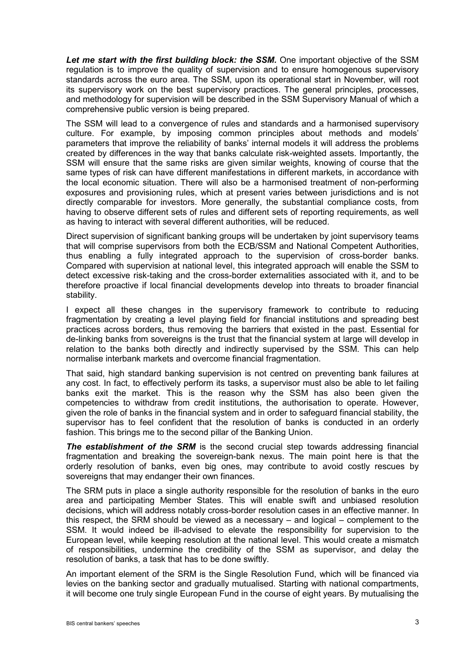*Let me start with the first building block: the SSM.* One important objective of the SSM regulation is to improve the quality of supervision and to ensure homogenous supervisory standards across the euro area. The SSM, upon its operational start in November, will root its supervisory work on the best supervisory practices. The general principles, processes, and methodology for supervision will be described in the SSM Supervisory Manual of which a comprehensive public version is being prepared.

The SSM will lead to a convergence of rules and standards and a harmonised supervisory culture. For example, by imposing common principles about methods and models' parameters that improve the reliability of banks' internal models it will address the problems created by differences in the way that banks calculate risk-weighted assets. Importantly, the SSM will ensure that the same risks are given similar weights, knowing of course that the same types of risk can have different manifestations in different markets, in accordance with the local economic situation. There will also be a harmonised treatment of non-performing exposures and provisioning rules, which at present varies between jurisdictions and is not directly comparable for investors. More generally, the substantial compliance costs, from having to observe different sets of rules and different sets of reporting requirements, as well as having to interact with several different authorities, will be reduced.

Direct supervision of significant banking groups will be undertaken by joint supervisory teams that will comprise supervisors from both the ECB/SSM and National Competent Authorities, thus enabling a fully integrated approach to the supervision of cross-border banks. Compared with supervision at national level, this integrated approach will enable the SSM to detect excessive risk-taking and the cross-border externalities associated with it, and to be therefore proactive if local financial developments develop into threats to broader financial stability.

I expect all these changes in the supervisory framework to contribute to reducing fragmentation by creating a level playing field for financial institutions and spreading best practices across borders, thus removing the barriers that existed in the past. Essential for de-linking banks from sovereigns is the trust that the financial system at large will develop in relation to the banks both directly and indirectly supervised by the SSM. This can help normalise interbank markets and overcome financial fragmentation.

That said, high standard banking supervision is not centred on preventing bank failures at any cost. In fact, to effectively perform its tasks, a supervisor must also be able to let failing banks exit the market. This is the reason why the SSM has also been given the competencies to withdraw from credit institutions, the authorisation to operate. However, given the role of banks in the financial system and in order to safeguard financial stability, the supervisor has to feel confident that the resolution of banks is conducted in an orderly fashion. This brings me to the second pillar of the Banking Union.

**The establishment of the SRM** is the second crucial step towards addressing financial fragmentation and breaking the sovereign-bank nexus. The main point here is that the orderly resolution of banks, even big ones, may contribute to avoid costly rescues by sovereigns that may endanger their own finances.

The SRM puts in place a single authority responsible for the resolution of banks in the euro area and participating Member States. This will enable swift and unbiased resolution decisions, which will address notably cross-border resolution cases in an effective manner. In this respect, the SRM should be viewed as a necessary – and logical – complement to the SSM. It would indeed be ill-advised to elevate the responsibility for supervision to the European level, while keeping resolution at the national level. This would create a mismatch of responsibilities, undermine the credibility of the SSM as supervisor, and delay the resolution of banks, a task that has to be done swiftly.

An important element of the SRM is the Single Resolution Fund, which will be financed via levies on the banking sector and gradually mutualised. Starting with national compartments, it will become one truly single European Fund in the course of eight years. By mutualising the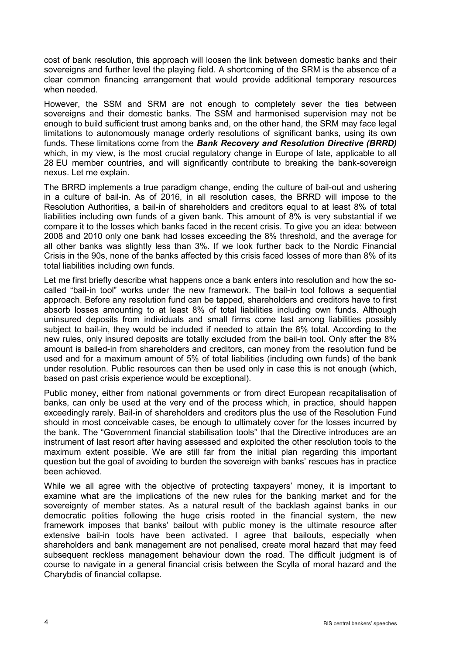cost of bank resolution, this approach will loosen the link between domestic banks and their sovereigns and further level the playing field. A shortcoming of the SRM is the absence of a clear common financing arrangement that would provide additional temporary resources when needed.

However, the SSM and SRM are not enough to completely sever the ties between sovereigns and their domestic banks. The SSM and harmonised supervision may not be enough to build sufficient trust among banks and, on the other hand, the SRM may face legal limitations to autonomously manage orderly resolutions of significant banks, using its own funds. These limitations come from the *Bank Recovery and Resolution Directive (BRRD)*  which, in my view, is the most crucial regulatory change in Europe of late, applicable to all 28 EU member countries, and will significantly contribute to breaking the bank-sovereign nexus. Let me explain.

The BRRD implements a true paradigm change, ending the culture of bail-out and ushering in a culture of bail-in. As of 2016, in all resolution cases, the BRRD will impose to the Resolution Authorities, a bail-in of shareholders and creditors equal to at least 8% of total liabilities including own funds of a given bank. This amount of 8% is very substantial if we compare it to the losses which banks faced in the recent crisis. To give you an idea: between 2008 and 2010 only one bank had losses exceeding the 8% threshold, and the average for all other banks was slightly less than 3%. If we look further back to the Nordic Financial Crisis in the 90s, none of the banks affected by this crisis faced losses of more than 8% of its total liabilities including own funds.

Let me first briefly describe what happens once a bank enters into resolution and how the socalled "bail-in tool" works under the new framework. The bail-in tool follows a sequential approach. Before any resolution fund can be tapped, shareholders and creditors have to first absorb losses amounting to at least 8% of total liabilities including own funds. Although uninsured deposits from individuals and small firms come last among liabilities possibly subject to bail-in, they would be included if needed to attain the 8% total. According to the new rules, only insured deposits are totally excluded from the bail-in tool. Only after the 8% amount is bailed-in from shareholders and creditors, can money from the resolution fund be used and for a maximum amount of 5% of total liabilities (including own funds) of the bank under resolution. Public resources can then be used only in case this is not enough (which, based on past crisis experience would be exceptional).

Public money, either from national governments or from direct European recapitalisation of banks, can only be used at the very end of the process which, in practice, should happen exceedingly rarely. Bail-in of shareholders and creditors plus the use of the Resolution Fund should in most conceivable cases, be enough to ultimately cover for the losses incurred by the bank. The "Government financial stabilisation tools" that the Directive introduces are an instrument of last resort after having assessed and exploited the other resolution tools to the maximum extent possible. We are still far from the initial plan regarding this important question but the goal of avoiding to burden the sovereign with banks' rescues has in practice been achieved.

While we all agree with the objective of protecting taxpayers' money, it is important to examine what are the implications of the new rules for the banking market and for the sovereignty of member states. As a natural result of the backlash against banks in our democratic polities following the huge crisis rooted in the financial system, the new framework imposes that banks' bailout with public money is the ultimate resource after extensive bail-in tools have been activated. I agree that bailouts, especially when shareholders and bank management are not penalised, create moral hazard that may feed subsequent reckless management behaviour down the road. The difficult judgment is of course to navigate in a general financial crisis between the Scylla of moral hazard and the Charybdis of financial collapse.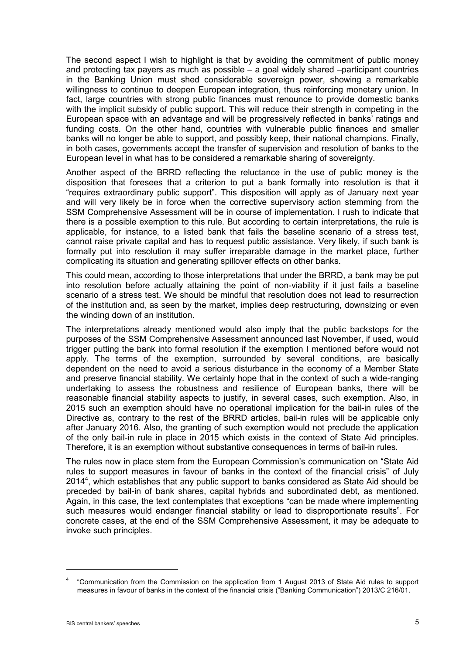The second aspect I wish to highlight is that by avoiding the commitment of public money and protecting tax payers as much as possible – a goal widely shared –participant countries in the Banking Union must shed considerable sovereign power, showing a remarkable willingness to continue to deepen European integration, thus reinforcing monetary union. In fact, large countries with strong public finances must renounce to provide domestic banks with the implicit subsidy of public support. This will reduce their strength in competing in the European space with an advantage and will be progressively reflected in banks' ratings and funding costs. On the other hand, countries with vulnerable public finances and smaller banks will no longer be able to support, and possibly keep, their national champions. Finally, in both cases, governments accept the transfer of supervision and resolution of banks to the European level in what has to be considered a remarkable sharing of sovereignty.

Another aspect of the BRRD reflecting the reluctance in the use of public money is the disposition that foresees that a criterion to put a bank formally into resolution is that it "requires extraordinary public support". This disposition will apply as of January next year and will very likely be in force when the corrective supervisory action stemming from the SSM Comprehensive Assessment will be in course of implementation. I rush to indicate that there is a possible exemption to this rule. But according to certain interpretations, the rule is applicable, for instance, to a listed bank that fails the baseline scenario of a stress test, cannot raise private capital and has to request public assistance. Very likely, if such bank is formally put into resolution it may suffer irreparable damage in the market place, further complicating its situation and generating spillover effects on other banks.

This could mean, according to those interpretations that under the BRRD, a bank may be put into resolution before actually attaining the point of non-viability if it just fails a baseline scenario of a stress test. We should be mindful that resolution does not lead to resurrection of the institution and, as seen by the market, implies deep restructuring, downsizing or even the winding down of an institution.

The interpretations already mentioned would also imply that the public backstops for the purposes of the SSM Comprehensive Assessment announced last November, if used, would trigger putting the bank into formal resolution if the exemption I mentioned before would not apply. The terms of the exemption, surrounded by several conditions, are basically dependent on the need to avoid a serious disturbance in the economy of a Member State and preserve financial stability. We certainly hope that in the context of such a wide-ranging undertaking to assess the robustness and resilience of European banks, there will be reasonable financial stability aspects to justify, in several cases, such exemption. Also, in 2015 such an exemption should have no operational implication for the bail-in rules of the Directive as, contrary to the rest of the BRRD articles, bail-in rules will be applicable only after January 2016. Also, the granting of such exemption would not preclude the application of the only bail-in rule in place in 2015 which exists in the context of State Aid principles. Therefore, it is an exemption without substantive consequences in terms of bail-in rules.

The rules now in place stem from the European Commission's communication on "State Aid rules to support measures in favour of banks in the context of the financial crisis" of July  $2014<sup>4</sup>$ , which establishes that any public support to banks considered as State Aid should be preceded by bail-in of bank shares, capital hybrids and subordinated debt, as mentioned. Again, in this case, the text contemplates that exceptions "can be made where implementing such measures would endanger financial stability or lead to disproportionate results". For concrete cases, at the end of the SSM Comprehensive Assessment, it may be adequate to invoke such principles.

<sup>4</sup> "Communication from the Commission on the application from 1 August 2013 of State Aid rules to support measures in favour of banks in the context of the financial crisis ("Banking Communication") 2013/C 216/01.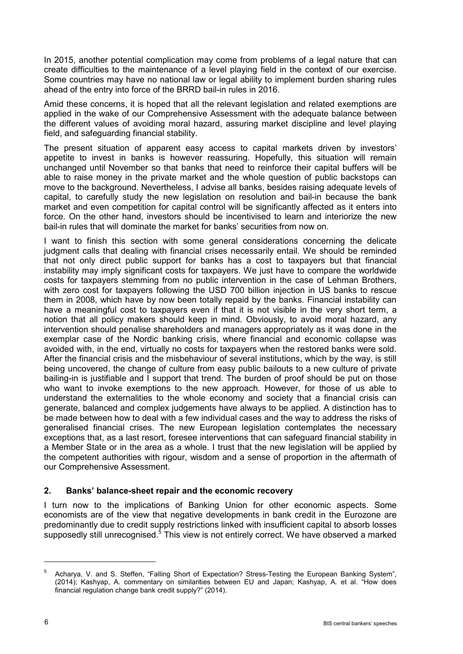In 2015, another potential complication may come from problems of a legal nature that can create difficulties to the maintenance of a level playing field in the context of our exercise. Some countries may have no national law or legal ability to implement burden sharing rules ahead of the entry into force of the BRRD bail-in rules in 2016.

Amid these concerns, it is hoped that all the relevant legislation and related exemptions are applied in the wake of our Comprehensive Assessment with the adequate balance between the different values of avoiding moral hazard, assuring market discipline and level playing field, and safeguarding financial stability.

The present situation of apparent easy access to capital markets driven by investors' appetite to invest in banks is however reassuring. Hopefully, this situation will remain unchanged until November so that banks that need to reinforce their capital buffers will be able to raise money in the private market and the whole question of public backstops can move to the background. Nevertheless, I advise all banks, besides raising adequate levels of capital, to carefully study the new legislation on resolution and bail-in because the bank market and even competition for capital control will be significantly affected as it enters into force. On the other hand, investors should be incentivised to learn and interiorize the new bail-in rules that will dominate the market for banks' securities from now on.

I want to finish this section with some general considerations concerning the delicate judgment calls that dealing with financial crises necessarily entail. We should be reminded that not only direct public support for banks has a cost to taxpayers but that financial instability may imply significant costs for taxpayers. We just have to compare the worldwide costs for taxpayers stemming from no public intervention in the case of Lehman Brothers, with zero cost for taxpayers following the USD 700 billion injection in US banks to rescue them in 2008, which have by now been totally repaid by the banks. Financial instability can have a meaningful cost to taxpayers even if that it is not visible in the very short term, a notion that all policy makers should keep in mind. Obviously, to avoid moral hazard, any intervention should penalise shareholders and managers appropriately as it was done in the exemplar case of the Nordic banking crisis, where financial and economic collapse was avoided with, in the end, virtually no costs for taxpayers when the restored banks were sold. After the financial crisis and the misbehaviour of several institutions, which by the way, is still being uncovered, the change of culture from easy public bailouts to a new culture of private bailing-in is justifiable and I support that trend. The burden of proof should be put on those who want to invoke exemptions to the new approach. However, for those of us able to understand the externalities to the whole economy and society that a financial crisis can generate, balanced and complex judgements have always to be applied. A distinction has to be made between how to deal with a few individual cases and the way to address the risks of generalised financial crises. The new European legislation contemplates the necessary exceptions that, as a last resort, foresee interventions that can safeguard financial stability in a Member State or in the area as a whole. I trust that the new legislation will be applied by the competent authorities with rigour, wisdom and a sense of proportion in the aftermath of our Comprehensive Assessment.

### **2. Banks' balance-sheet repair and the economic recovery**

I turn now to the implications of Banking Union for other economic aspects. Some economists are of the view that negative developments in bank credit in the Eurozone are predominantly due to credit supply restrictions linked with insufficient capital to absorb losses supposedly still unrecognised. $5$  This view is not entirely correct. We have observed a marked

<sup>5</sup> Acharya, V. and S. Steffen, "Falling Short of Expectation? Stress-Testing the European Banking System", (2014); Kashyap, A. commentary on similarities between EU and Japan; Kashyap, A. et al. "How does financial regulation change bank credit supply?" (2014).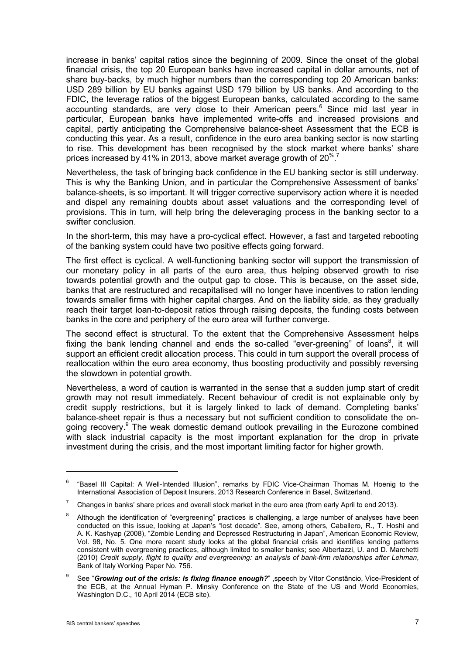increase in banks' capital ratios since the beginning of 2009. Since the onset of the global financial crisis, the top 20 European banks have increased capital in dollar amounts, net of share buy-backs, by much higher numbers than the corresponding top 20 American banks: USD 289 billion by EU banks against USD 179 billion by US banks. And according to the FDIC, the leverage ratios of the biggest European banks, calculated according to the same accounting standards, are very close to their American peers.<sup>6</sup> Since mid last year in particular, European banks have implemented write-offs and increased provisions and capital, partly anticipating the Comprehensive balance-sheet Assessment that the ECB is conducting this year. As a result, confidence in the euro area banking sector is now starting to rise. This development has been recognised by the stock market where banks' share prices increased by 41% in 2013, above market average growth of 20 $^{\%}$ .

Nevertheless, the task of bringing back confidence in the EU banking sector is still underway. This is why the Banking Union, and in particular the Comprehensive Assessment of banks' balance-sheets, is so important. It will trigger corrective supervisory action where it is needed and dispel any remaining doubts about asset valuations and the corresponding level of provisions. This in turn, will help bring the deleveraging process in the banking sector to a swifter conclusion.

In the short-term, this may have a pro-cyclical effect. However, a fast and targeted rebooting of the banking system could have two positive effects going forward.

The first effect is cyclical. A well-functioning banking sector will support the transmission of our monetary policy in all parts of the euro area, thus helping observed growth to rise towards potential growth and the output gap to close. This is because, on the asset side, banks that are restructured and recapitalised will no longer have incentives to ration lending towards smaller firms with higher capital charges. And on the liability side, as they gradually reach their target loan-to-deposit ratios through raising deposits, the funding costs between banks in the core and periphery of the euro area will further converge.

The second effect is structural. To the extent that the Comprehensive Assessment helps fixing the bank lending channel and ends the so-called "ever-greening" of loans<sup>8</sup>, it will support an efficient credit allocation process. This could in turn support the overall process of reallocation within the euro area economy, thus boosting productivity and possibly reversing the slowdown in potential growth.

Nevertheless, a word of caution is warranted in the sense that a sudden jump start of credit growth may not result immediately. Recent behaviour of credit is not explainable only by credit supply restrictions, but it is largely linked to lack of demand. Completing banks' balance-sheet repair is thus a necessary but not sufficient condition to consolidate the ongoing recovery.<sup>9</sup> The weak domestic demand outlook prevailing in the Eurozone combined with slack industrial capacity is the most important explanation for the drop in private investment during the crisis, and the most important limiting factor for higher growth.

1

 $6$  "Basel III Capital: A Well-Intended Illusion", remarks by FDIC Vice-Chairman Thomas M. Hoenig to the International Association of Deposit Insurers, 2013 Research Conference in Basel, Switzerland.

 $7$  Changes in banks' share prices and overall stock market in the euro area (from early April to end 2013).

<sup>&</sup>lt;sup>8</sup> Although the identification of "evergreening" practices is challenging, a large number of analyses have been conducted on this issue, looking at Japan's "lost decade". See, among others, Caballero, R., T. Hoshi and A. K. Kashyap (2008), "Zombie Lending and Depressed Restructuring in Japan", American Economic Review, Vol. 98, No. 5. One more recent study looks at the global financial crisis and identifies lending patterns consistent with evergreening practices, although limited to smaller banks; see Albertazzi, U. and D. Marchetti (2010) *Credit supply, flight to quality and evergreening: an analysis of bank-firm relationships after Lehman*, Bank of Italy Working Paper No. 756.

See "Growing out of the crisis: Is fixing finance enough?" , speech by Vítor Constâncio, Vice-President of the ECB, at the Annual Hyman P. Minsky Conference on the State of the US and World Economies, Washington D.C., 10 April 2014 (ECB site).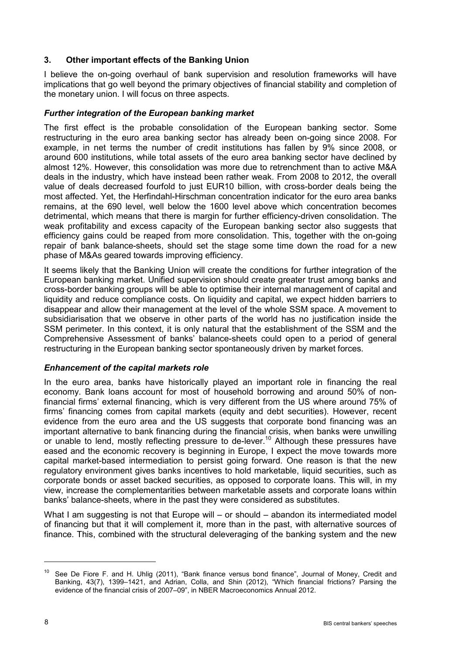### **3. Other important effects of the Banking Union**

I believe the on-going overhaul of bank supervision and resolution frameworks will have implications that go well beyond the primary objectives of financial stability and completion of the monetary union. I will focus on three aspects.

### *Further integration of the European banking market*

The first effect is the probable consolidation of the European banking sector. Some restructuring in the euro area banking sector has already been on-going since 2008. For example, in net terms the number of credit institutions has fallen by 9% since 2008, or around 600 institutions, while total assets of the euro area banking sector have declined by almost 12%. However, this consolidation was more due to retrenchment than to active M&A deals in the industry, which have instead been rather weak. From 2008 to 2012, the overall value of deals decreased fourfold to just EUR10 billion, with cross-border deals being the most affected. Yet, the Herfindahl-Hirschman concentration indicator for the euro area banks remains, at the 690 level, well below the 1600 level above which concentration becomes detrimental, which means that there is margin for further efficiency-driven consolidation. The weak profitability and excess capacity of the European banking sector also suggests that efficiency gains could be reaped from more consolidation. This, together with the on-going repair of bank balance-sheets, should set the stage some time down the road for a new phase of M&As geared towards improving efficiency.

It seems likely that the Banking Union will create the conditions for further integration of the European banking market. Unified supervision should create greater trust among banks and cross-border banking groups will be able to optimise their internal management of capital and liquidity and reduce compliance costs. On liquidity and capital, we expect hidden barriers to disappear and allow their management at the level of the whole SSM space. A movement to subsidiarisation that we observe in other parts of the world has no justification inside the SSM perimeter. In this context, it is only natural that the establishment of the SSM and the Comprehensive Assessment of banks' balance-sheets could open to a period of general restructuring in the European banking sector spontaneously driven by market forces.

### *Enhancement of the capital markets role*

In the euro area, banks have historically played an important role in financing the real economy. Bank loans account for most of household borrowing and around 50% of nonfinancial firms' external financing, which is very different from the US where around 75% of firms' financing comes from capital markets (equity and debt securities). However, recent evidence from the euro area and the US suggests that corporate bond financing was an important alternative to bank financing during the financial crisis, when banks were unwilling or unable to lend, mostly reflecting pressure to de-lever.<sup>10</sup> Although these pressures have eased and the economic recovery is beginning in Europe, I expect the move towards more capital market-based intermediation to persist going forward. One reason is that the new regulatory environment gives banks incentives to hold marketable, liquid securities, such as corporate bonds or asset backed securities, as opposed to corporate loans. This will, in my view, increase the complementarities between marketable assets and corporate loans within banks' balance-sheets, where in the past they were considered as substitutes.

What I am suggesting is not that Europe will – or should – abandon its intermediated model of financing but that it will complement it, more than in the past, with alternative sources of finance. This, combined with the structural deleveraging of the banking system and the new

<sup>&</sup>lt;sup>10</sup> See De Fiore F. and H. Uhlig (2011), "Bank finance versus bond finance", Journal of Money, Credit and Banking, 43(7), 1399–1421, and Adrian, Colla, and Shin (2012), "Which financial frictions? Parsing the evidence of the financial crisis of 2007–09", in NBER Macroeconomics Annual 2012.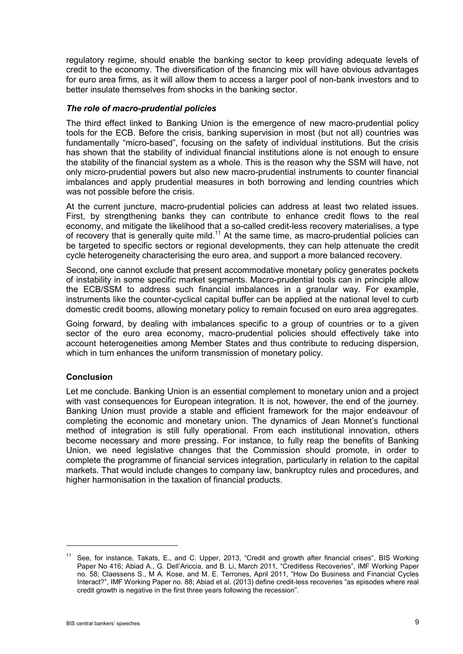regulatory regime, should enable the banking sector to keep providing adequate levels of credit to the economy. The diversification of the financing mix will have obvious advantages for euro area firms, as it will allow them to access a larger pool of non-bank investors and to better insulate themselves from shocks in the banking sector.

#### *The role of macro-prudential policies*

The third effect linked to Banking Union is the emergence of new macro-prudential policy tools for the ECB. Before the crisis, banking supervision in most (but not all) countries was fundamentally "micro-based", focusing on the safety of individual institutions. But the crisis has shown that the stability of individual financial institutions alone is not enough to ensure the stability of the financial system as a whole. This is the reason why the SSM will have, not only micro-prudential powers but also new macro-prudential instruments to counter financial imbalances and apply prudential measures in both borrowing and lending countries which was not possible before the crisis.

At the current juncture, macro-prudential policies can address at least two related issues. First, by strengthening banks they can contribute to enhance credit flows to the real economy, and mitigate the likelihood that a so-called credit-less recovery materialises, a type of recovery that is generally quite mild.<sup>11</sup> At the same time, as macro-prudential policies can be targeted to specific sectors or regional developments, they can help attenuate the credit cycle heterogeneity characterising the euro area, and support a more balanced recovery.

Second, one cannot exclude that present accommodative monetary policy generates pockets of instability in some specific market segments. Macro-prudential tools can in principle allow the ECB/SSM to address such financial imbalances in a granular way. For example, instruments like the counter-cyclical capital buffer can be applied at the national level to curb domestic credit booms, allowing monetary policy to remain focused on euro area aggregates.

Going forward, by dealing with imbalances specific to a group of countries or to a given sector of the euro area economy, macro-prudential policies should effectively take into account heterogeneities among Member States and thus contribute to reducing dispersion, which in turn enhances the uniform transmission of monetary policy.

### **Conclusion**

Let me conclude. Banking Union is an essential complement to monetary union and a project with vast consequences for European integration. It is not, however, the end of the journey. Banking Union must provide a stable and efficient framework for the major endeavour of completing the economic and monetary union. The dynamics of Jean Monnet's functional method of integration is still fully operational. From each institutional innovation, others become necessary and more pressing. For instance, to fully reap the benefits of Banking Union, we need legislative changes that the Commission should promote, in order to complete the programme of financial services integration, particularly in relation to the capital markets. That would include changes to company law, bankruptcy rules and procedures, and higher harmonisation in the taxation of financial products.

<sup>&</sup>lt;sup>11</sup> See, for instance, Takats, E., and C. Upper, 2013, "Credit and growth after financial crises", BIS Working Paper No 416; Abiad A., G. Dell'Ariccia, and B. Li, March 2011, "Creditless Recoveries", IMF Working Paper no. 58; Claessens S., M A. Kose, and M. E. Terrones, April 2011, "How Do Business and Financial Cycles Interact?", IMF Working Paper no. 88; Abiad et al. (2013) define credit-less recoveries "as episodes where real credit growth is negative in the first three years following the recession".